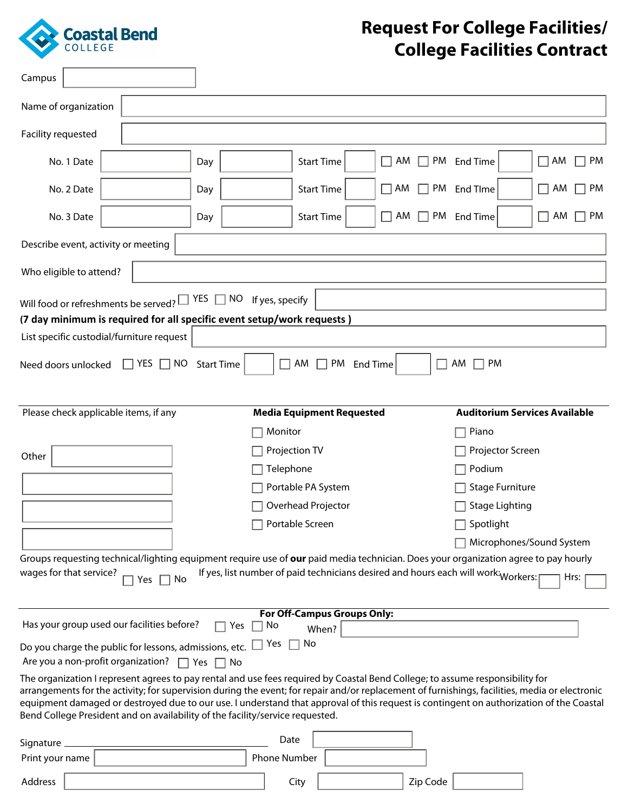

Г

٦

## **Request For College Facilities/ College Facilities Contract**

| Campus                                                                                                                                                                                                                                                                                                                                                                     |                            |                      |                                  |                   |    |                                    |                                                                                    |                                      |
|----------------------------------------------------------------------------------------------------------------------------------------------------------------------------------------------------------------------------------------------------------------------------------------------------------------------------------------------------------------------------|----------------------------|----------------------|----------------------------------|-------------------|----|------------------------------------|------------------------------------------------------------------------------------|--------------------------------------|
| Name of organization                                                                                                                                                                                                                                                                                                                                                       |                            |                      |                                  |                   |    |                                    |                                                                                    |                                      |
| Facility requested                                                                                                                                                                                                                                                                                                                                                         |                            |                      |                                  |                   |    |                                    |                                                                                    |                                      |
| No. 1 Date                                                                                                                                                                                                                                                                                                                                                                 |                            | Day                  | $\blacktriangledown$             | <b>Start Time</b> | AM | $\mathbf{L}$                       | PM End Time                                                                        | <b>PM</b><br>$\Box$<br>AM            |
| No. 2 Date                                                                                                                                                                                                                                                                                                                                                                 |                            | Day                  |                                  | <b>Start Time</b> | AM |                                    | PM End TIme                                                                        | PM<br>AM                             |
| No. 3 Date                                                                                                                                                                                                                                                                                                                                                                 |                            | Day                  | $\overline{\phantom{0}}$         | <b>Start Time</b> | AM | $\Box$                             | PM End Time                                                                        | AM<br><b>PM</b><br>×.                |
| Describe event, activity or meeting                                                                                                                                                                                                                                                                                                                                        |                            |                      |                                  |                   |    |                                    |                                                                                    |                                      |
| Who eligible to attend?                                                                                                                                                                                                                                                                                                                                                    |                            |                      |                                  |                   |    |                                    |                                                                                    |                                      |
| Will food or refreshments be served? $\square$ YES $\square$ NO If yes, specify                                                                                                                                                                                                                                                                                            |                            |                      |                                  |                   |    |                                    |                                                                                    |                                      |
| (7 day minimum is required for all specific event setup/work requests)                                                                                                                                                                                                                                                                                                     |                            |                      |                                  |                   |    |                                    |                                                                                    |                                      |
| List specific custodial/furniture request                                                                                                                                                                                                                                                                                                                                  |                            |                      |                                  |                   |    |                                    |                                                                                    |                                      |
| Need doors unlocked                                                                                                                                                                                                                                                                                                                                                        | $\Box$ YES<br>NO<br>$\Box$ | <b>Start Time</b>    | AM                               | PM End Time       |    |                                    | AM<br><b>PM</b>                                                                    |                                      |
|                                                                                                                                                                                                                                                                                                                                                                            |                            |                      |                                  |                   |    |                                    |                                                                                    |                                      |
| Please check applicable items, if any                                                                                                                                                                                                                                                                                                                                      |                            |                      | <b>Media Equipment Requested</b> |                   |    |                                    |                                                                                    | <b>Auditorium Services Available</b> |
|                                                                                                                                                                                                                                                                                                                                                                            |                            |                      | Monitor                          |                   |    |                                    | Piano                                                                              |                                      |
| Other                                                                                                                                                                                                                                                                                                                                                                      |                            | Projection TV        |                                  |                   |    | Projector Screen                   |                                                                                    |                                      |
|                                                                                                                                                                                                                                                                                                                                                                            |                            | Telephone            |                                  |                   |    | Podium<br><b>Stage Furniture</b>   |                                                                                    |                                      |
|                                                                                                                                                                                                                                                                                                                                                                            |                            | Portable PA System   |                                  |                   |    |                                    |                                                                                    |                                      |
| Overhead Projector                                                                                                                                                                                                                                                                                                                                                         |                            |                      |                                  |                   |    | <b>Stage Lighting</b><br>Spotlight |                                                                                    |                                      |
|                                                                                                                                                                                                                                                                                                                                                                            |                            | Portable Screen      |                                  |                   |    | Microphones/Sound System           |                                                                                    |                                      |
| Groups requesting technical/lighting equipment require use of our paid media technician. Does your organization agree to pay hourly                                                                                                                                                                                                                                        |                            |                      |                                  |                   |    |                                    |                                                                                    |                                      |
| wages for that service?                                                                                                                                                                                                                                                                                                                                                    | No<br>Yes                  |                      |                                  |                   |    |                                    | If yes, list number of paid technicians desired and hours each will work: Workers: | Hrs:                                 |
|                                                                                                                                                                                                                                                                                                                                                                            |                            |                      | For Off-Campus Groups Only:      |                   |    |                                    |                                                                                    |                                      |
| Has your group used our facilities before?                                                                                                                                                                                                                                                                                                                                 |                            | Yes                  | No                               | When?             |    |                                    |                                                                                    |                                      |
| Do you charge the public for lessons, admissions, etc. $\Box$                                                                                                                                                                                                                                                                                                              |                            |                      | No<br>Yes                        |                   |    |                                    |                                                                                    |                                      |
| Are you a non-profit organization?<br>The organization I represent agrees to pay rental and use fees required by Coastal Bend College; to assume responsibility for                                                                                                                                                                                                        |                            | $\Box$ Yes $\Box$ No |                                  |                   |    |                                    |                                                                                    |                                      |
| arrangements for the activity; for supervision during the event; for repair and/or replacement of furnishings, facilities, media or electronic<br>equipment damaged or destroyed due to our use. I understand that approval of this request is contingent on authorization of the Coastal<br>Bend College President and on availability of the facility/service requested. |                            |                      |                                  |                   |    |                                    |                                                                                    |                                      |
| Signature                                                                                                                                                                                                                                                                                                                                                                  |                            |                      | Date                             |                   |    |                                    |                                                                                    |                                      |
| Print your name                                                                                                                                                                                                                                                                                                                                                            |                            |                      | Phone Number                     |                   |    |                                    |                                                                                    |                                      |
| Address                                                                                                                                                                                                                                                                                                                                                                    |                            |                      | City                             |                   |    | Zip Code                           |                                                                                    |                                      |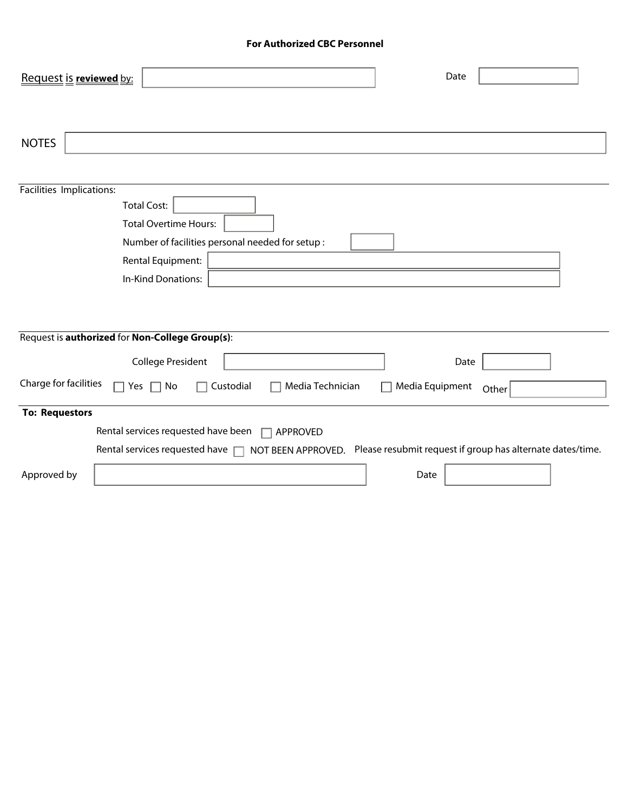## **For Authorized CBC Personnel**

| Request is reviewed by:                         |                                                        | Date                                                       |  |
|-------------------------------------------------|--------------------------------------------------------|------------------------------------------------------------|--|
| <b>NOTES</b>                                    |                                                        |                                                            |  |
| Facilities Implications:                        |                                                        |                                                            |  |
| <b>Total Cost:</b>                              |                                                        |                                                            |  |
| <b>Total Overtime Hours:</b>                    |                                                        |                                                            |  |
|                                                 | Number of facilities personal needed for setup :       |                                                            |  |
| Rental Equipment:                               |                                                        |                                                            |  |
| In-Kind Donations:                              |                                                        |                                                            |  |
|                                                 |                                                        |                                                            |  |
|                                                 |                                                        |                                                            |  |
| Request is authorized for Non-College Group(s): |                                                        |                                                            |  |
| <b>College President</b>                        |                                                        | Date                                                       |  |
| Charge for facilities<br>Yes<br>$\mathsf{L}$    | Media Technician<br>Custodial<br>No                    | Media Equipment<br>Other                                   |  |
| <b>To: Requestors</b>                           |                                                        |                                                            |  |
|                                                 | Rental services requested have been<br><b>APPROVED</b> |                                                            |  |
| Rental services requested have                  | NOT BEEN APPROVED.                                     | Please resubmit request if group has alternate dates/time. |  |
| Approved by                                     |                                                        | Date                                                       |  |